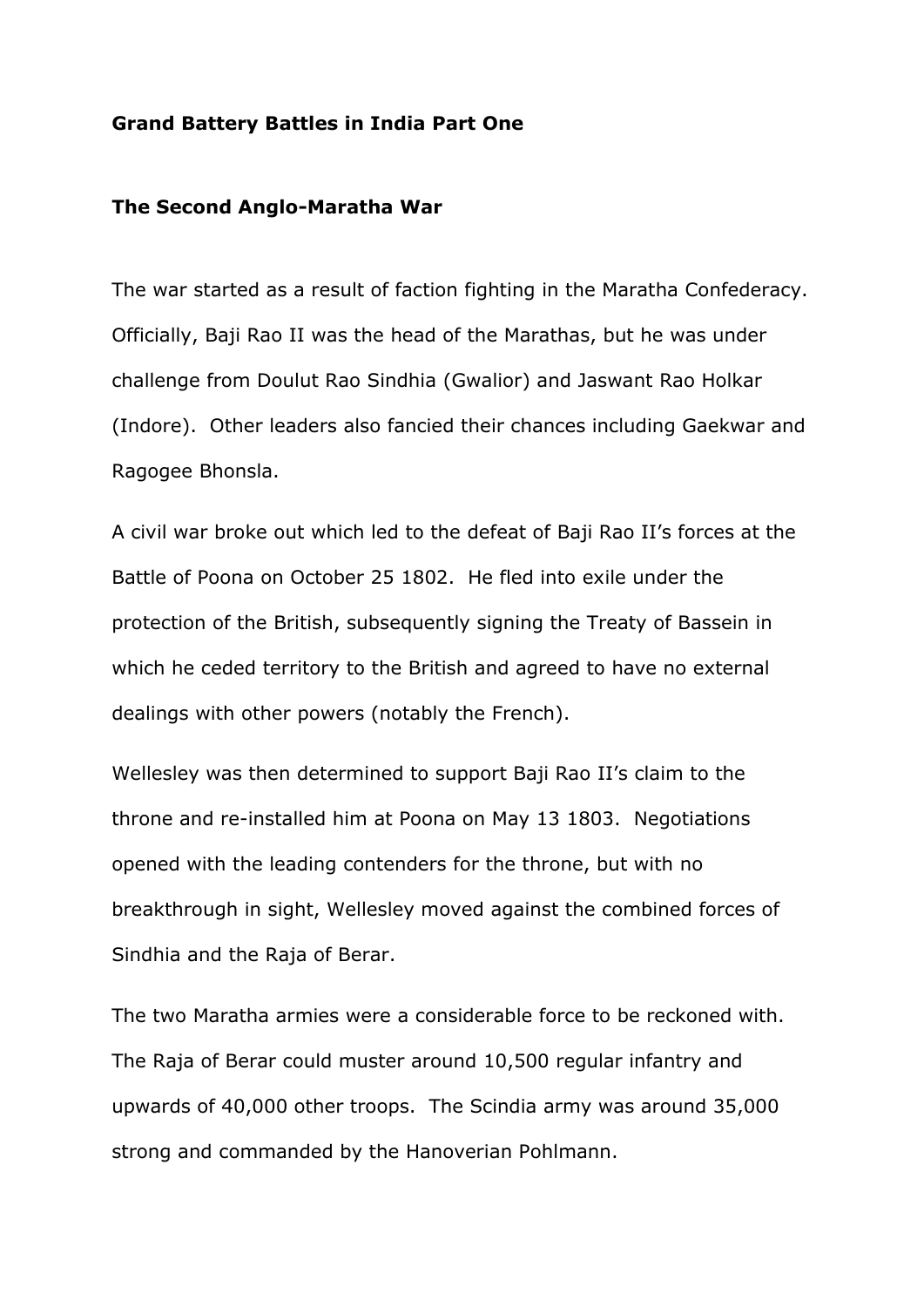### **Grand Battery Battles in India Part One**

### **The Second Anglo-Maratha War**

The war started as a result of faction fighting in the Maratha Confederacy. Officially, Baji Rao II was the head of the Marathas, but he was under challenge from Doulut Rao Sindhia (Gwalior) and Jaswant Rao Holkar (Indore). Other leaders also fancied their chances including Gaekwar and Ragogee Bhonsla.

A civil war broke out which led to the defeat of Baji Rao II's forces at the Battle of Poona on October 25 1802. He fled into exile under the protection of the British, subsequently signing the Treaty of Bassein in which he ceded territory to the British and agreed to have no external dealings with other powers (notably the French).

Wellesley was then determined to support Baji Rao II's claim to the throne and re-installed him at Poona on May 13 1803. Negotiations opened with the leading contenders for the throne, but with no breakthrough in sight, Wellesley moved against the combined forces of Sindhia and the Raja of Berar.

The two Maratha armies were a considerable force to be reckoned with. The Raja of Berar could muster around 10,500 regular infantry and upwards of 40,000 other troops. The Scindia army was around 35,000 strong and commanded by the Hanoverian Pohlmann.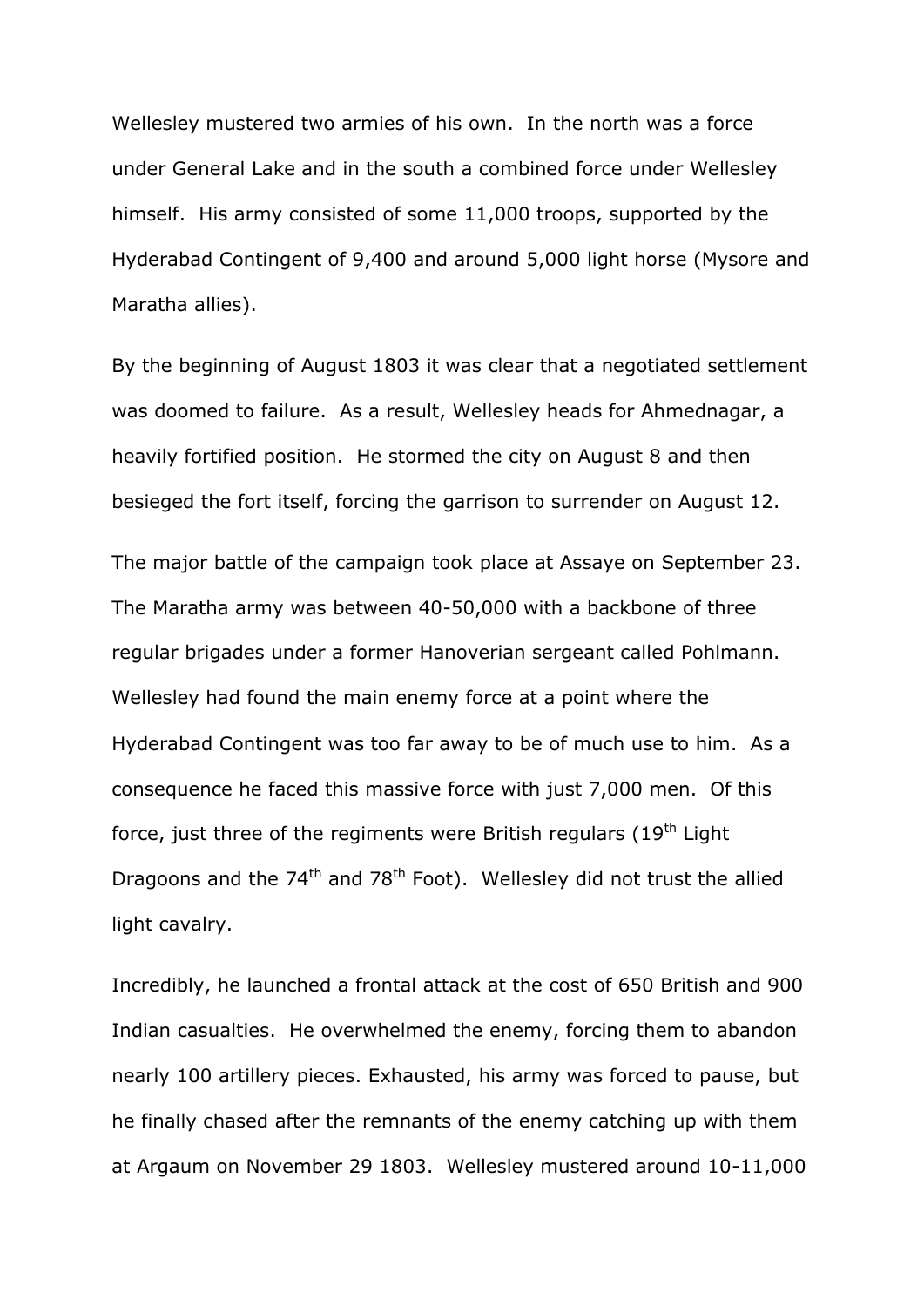Wellesley mustered two armies of his own. In the north was a force under General Lake and in the south a combined force under Wellesley himself. His army consisted of some 11,000 troops, supported by the Hyderabad Contingent of 9,400 and around 5,000 light horse (Mysore and Maratha allies).

By the beginning of August 1803 it was clear that a negotiated settlement was doomed to failure. As a result, Wellesley heads for Ahmednagar, a heavily fortified position. He stormed the city on August 8 and then besieged the fort itself, forcing the garrison to surrender on August 12.

The major battle of the campaign took place at Assaye on September 23. The Maratha army was between 40-50,000 with a backbone of three regular brigades under a former Hanoverian sergeant called Pohlmann. Wellesley had found the main enemy force at a point where the Hyderabad Contingent was too far away to be of much use to him. As a consequence he faced this massive force with just 7,000 men. Of this force, just three of the regiments were British regulars  $(19<sup>th</sup>$  Light Dragoons and the  $74<sup>th</sup>$  and  $78<sup>th</sup>$  Foot). Wellesley did not trust the allied light cavalry.

Incredibly, he launched a frontal attack at the cost of 650 British and 900 Indian casualties. He overwhelmed the enemy, forcing them to abandon nearly 100 artillery pieces. Exhausted, his army was forced to pause, but he finally chased after the remnants of the enemy catching up with them at Argaum on November 29 1803. Wellesley mustered around 10-11,000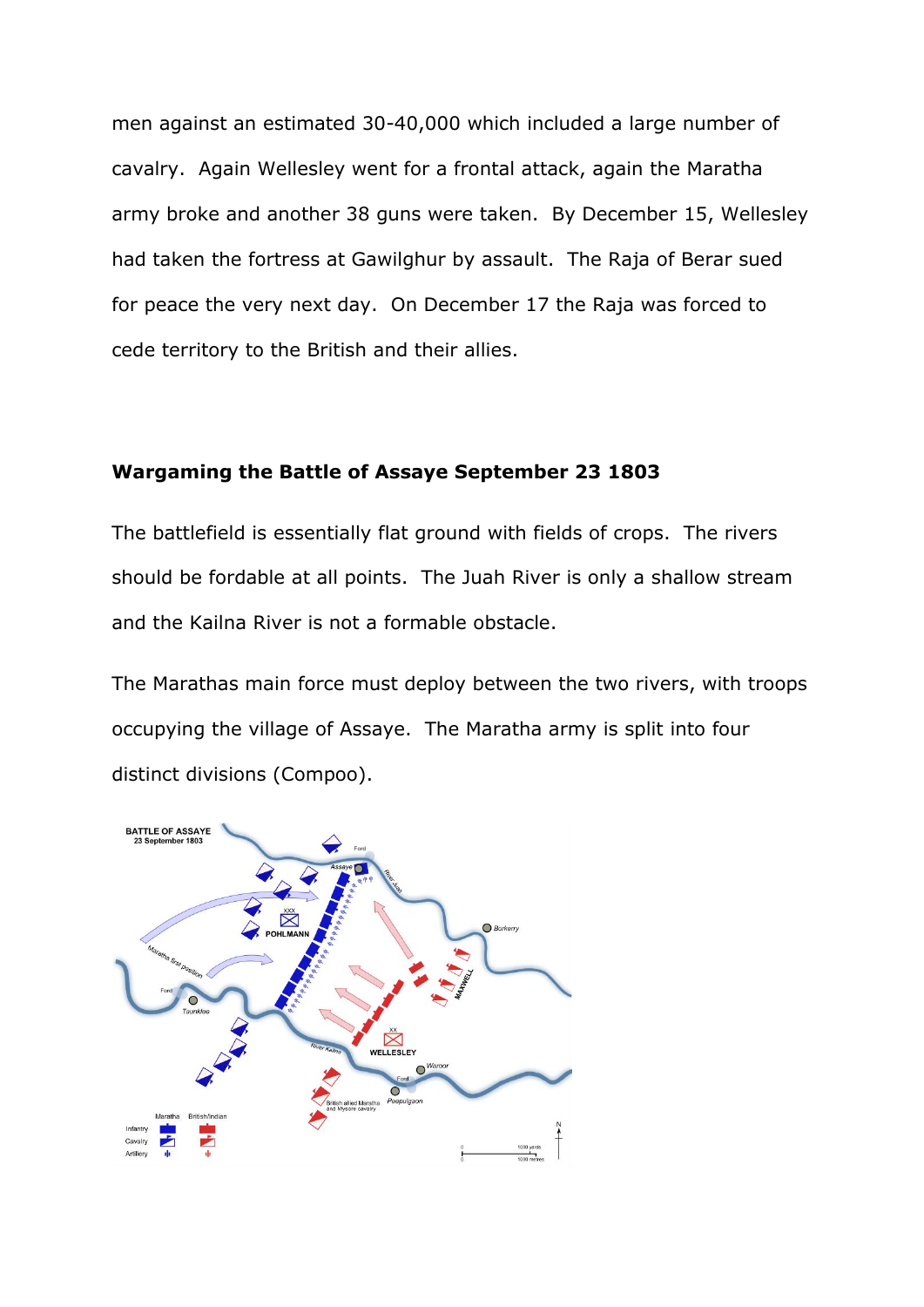men against an estimated 30-40,000 which included a large number of cavalry. Again Wellesley went for a frontal attack, again the Maratha army broke and another 38 guns were taken. By December 15, Wellesley had taken the fortress at Gawilghur by assault. The Raja of Berar sued for peace the very next day. On December 17 the Raja was forced to cede territory to the British and their allies.

#### **Wargaming the Battle of Assaye September 23 1803**

The battlefield is essentially flat ground with fields of crops. The rivers should be fordable at all points. The Juah River is only a shallow stream and the Kailna River is not a formable obstacle.

The Marathas main force must deploy between the two rivers, with troops occupying the village of Assaye. The Maratha army is split into four distinct divisions (Compoo).

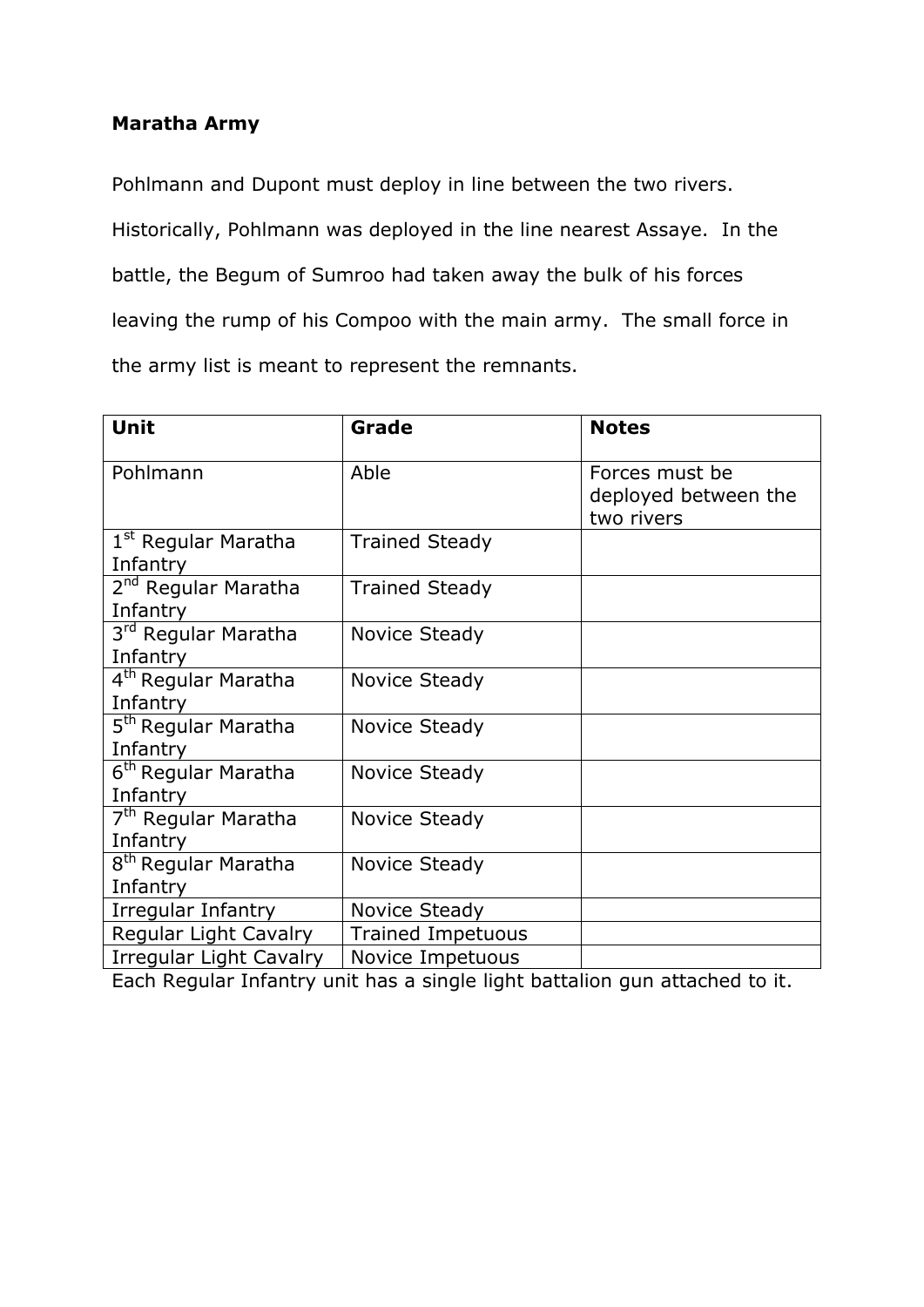## **Maratha Army**

Pohlmann and Dupont must deploy in line between the two rivers. Historically, Pohlmann was deployed in the line nearest Assaye. In the battle, the Begum of Sumroo had taken away the bulk of his forces leaving the rump of his Compoo with the main army. The small force in the army list is meant to represent the remnants.

| Unit                                        | Grade                    | <b>Notes</b>                                         |
|---------------------------------------------|--------------------------|------------------------------------------------------|
| Pohlmann                                    | Able                     | Forces must be<br>deployed between the<br>two rivers |
| 1 <sup>st</sup> Regular Maratha<br>Infantry | <b>Trained Steady</b>    |                                                      |
| 2 <sup>nd</sup> Regular Maratha<br>Infantry | <b>Trained Steady</b>    |                                                      |
| 3 <sup>rd</sup> Regular Maratha<br>Infantry | Novice Steady            |                                                      |
| 4 <sup>th</sup> Regular Maratha<br>Infantry | Novice Steady            |                                                      |
| 5 <sup>th</sup> Regular Maratha<br>Infantry | Novice Steady            |                                                      |
| 6 <sup>th</sup> Regular Maratha<br>Infantry | <b>Novice Steady</b>     |                                                      |
| 7 <sup>th</sup> Regular Maratha<br>Infantry | Novice Steady            |                                                      |
| 8 <sup>th</sup> Regular Maratha<br>Infantry | <b>Novice Steady</b>     |                                                      |
| Irregular Infantry                          | Novice Steady            |                                                      |
| Regular Light Cavalry                       | <b>Trained Impetuous</b> |                                                      |
| Irregular Light Cavalry                     | Novice Impetuous         |                                                      |

Each Regular Infantry unit has a single light battalion gun attached to it.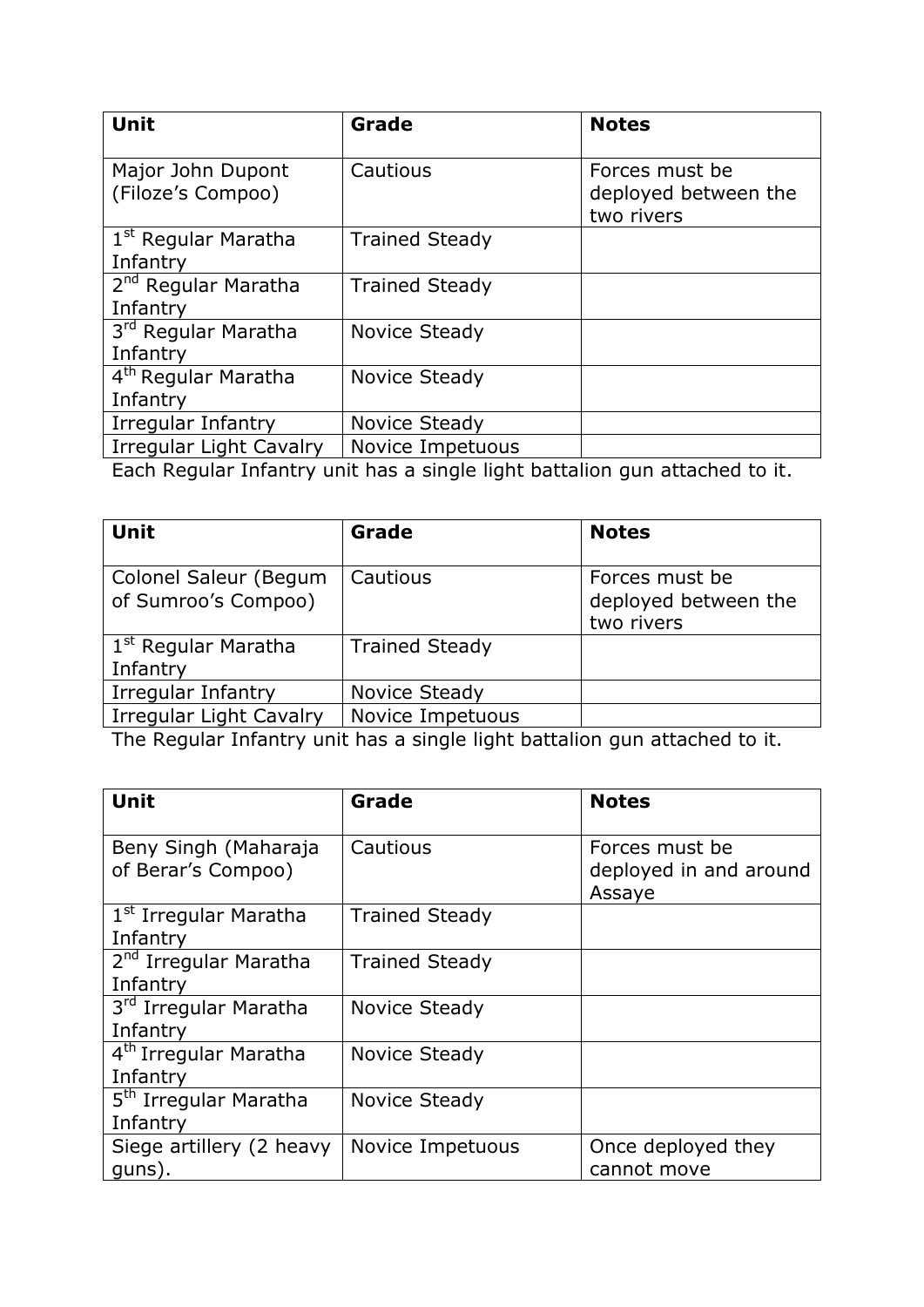| Unit                                        | Grade                 | <b>Notes</b>                                         |
|---------------------------------------------|-----------------------|------------------------------------------------------|
| Major John Dupont<br>(Filoze's Compoo)      | Cautious              | Forces must be<br>deployed between the<br>two rivers |
| 1 <sup>st</sup> Regular Maratha<br>Infantry | <b>Trained Steady</b> |                                                      |
| 2 <sup>nd</sup> Regular Maratha<br>Infantry | <b>Trained Steady</b> |                                                      |
| 3rd Regular Maratha<br>Infantry             | Novice Steady         |                                                      |
| 4 <sup>th</sup> Regular Maratha<br>Infantry | Novice Steady         |                                                      |
| Irregular Infantry                          | Novice Steady         |                                                      |
| Irregular Light Cavalry                     | Novice Impetuous<br>. | .                                                    |

Each Regular Infantry unit has a single light battalion gun attached to it.

| <b>Unit</b>                                  | Grade                   | <b>Notes</b>                                         |
|----------------------------------------------|-------------------------|------------------------------------------------------|
| Colonel Saleur (Begum<br>of Sumroo's Compoo) | Cautious                | Forces must be<br>deployed between the<br>two rivers |
| 1 <sup>st</sup> Regular Maratha<br>Infantry  | <b>Trained Steady</b>   |                                                      |
| Irregular Infantry                           | Novice Steady           |                                                      |
| <b>Irregular Light Cavalry</b>               | <b>Novice Impetuous</b> |                                                      |

The Regular Infantry unit has a single light battalion gun attached to it.

| Unit                                          | Grade                 | <b>Notes</b>                                       |
|-----------------------------------------------|-----------------------|----------------------------------------------------|
| Beny Singh (Maharaja<br>of Berar's Compoo)    | Cautious              | Forces must be<br>deployed in and around<br>Assaye |
| 1 <sup>st</sup> Irregular Maratha<br>Infantry | <b>Trained Steady</b> |                                                    |
| 2 <sup>nd</sup> Irregular Maratha<br>Infantry | <b>Trained Steady</b> |                                                    |
| 3rd Irregular Maratha<br>Infantry             | Novice Steady         |                                                    |
| 4 <sup>th</sup> Irregular Maratha<br>Infantry | Novice Steady         |                                                    |
| 5 <sup>th</sup> Irregular Maratha<br>Infantry | Novice Steady         |                                                    |
| Siege artillery (2 heavy<br>quns).            | Novice Impetuous      | Once deployed they<br>cannot move                  |